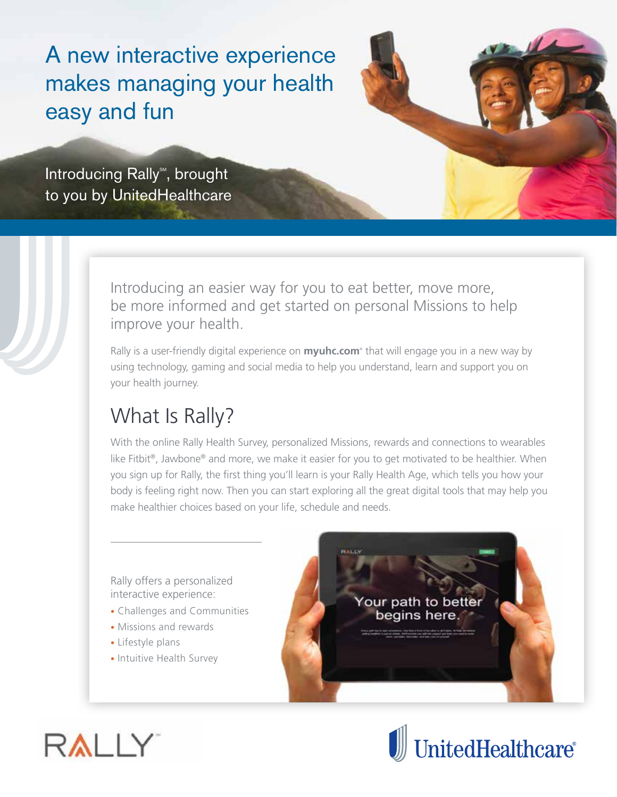A new interactive experience makes managing your health easy and fun

Introducing Rally<sup>®</sup>, brought to you by UnitedHealthcare



Rally is a user-friendly digital experience on **myuhc.com**® that will engage you in a new way by using technology, gaming and social media to help you understand, learn and support you on your health journey.

## What Is Rally?

With the online Rally Health Survey, personalized Missions, rewards and connections to wearables like Fitbit®, Jawbone® and more, we make it easier for you to get motivated to be healthier. When you sign up for Rally, the first thing you'll learn is your Rally Health Age, which tells you how your body is feeling right now. Then you can start exploring all the great digital tools that may help you make healthier choices based on your life, schedule and needs.

Rally offers a personalized interactive experience:

- Challenges and Communities
- Missions and rewards
- Lifestyle plans
- Intuitive Health Survey

Your path to better begins here